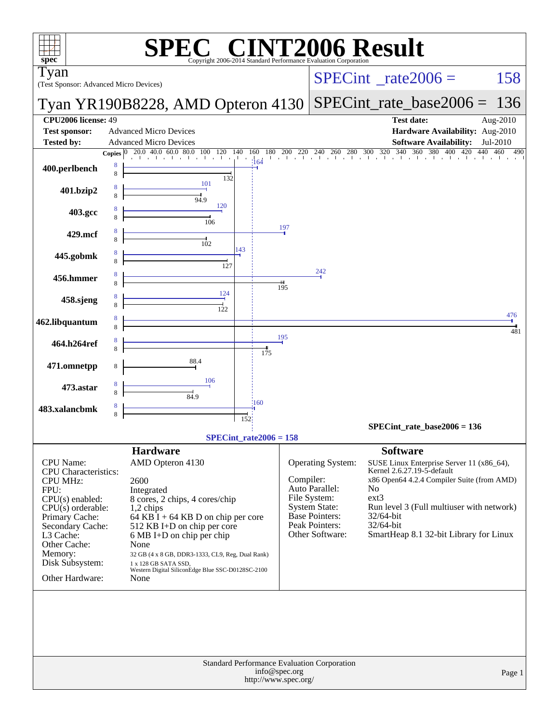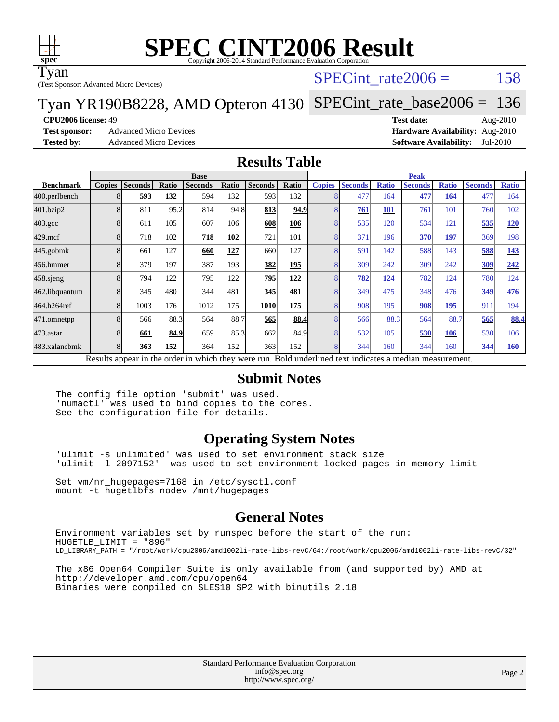

Tyan

(Test Sponsor: Advanced Micro Devices)

#### SPECint rate $2006 = 158$

Tyan YR190B8228, AMD Opteron 4130 [SPECint\\_rate\\_base2006 =](http://www.spec.org/auto/cpu2006/Docs/result-fields.html#SPECintratebase2006) 136

**[CPU2006 license:](http://www.spec.org/auto/cpu2006/Docs/result-fields.html#CPU2006license)** 49 **[Test date:](http://www.spec.org/auto/cpu2006/Docs/result-fields.html#Testdate)** Aug-2010

**[Test sponsor:](http://www.spec.org/auto/cpu2006/Docs/result-fields.html#Testsponsor)** Advanced Micro Devices **Advanced Micro Devices [Hardware Availability:](http://www.spec.org/auto/cpu2006/Docs/result-fields.html#HardwareAvailability)** Aug-2010

**[Tested by:](http://www.spec.org/auto/cpu2006/Docs/result-fields.html#Testedby)** Advanced Micro Devices **[Software Availability:](http://www.spec.org/auto/cpu2006/Docs/result-fields.html#SoftwareAvailability)** Jul-2010

#### **[Results Table](http://www.spec.org/auto/cpu2006/Docs/result-fields.html#ResultsTable)**

|                    | <b>Base</b>   |                |       |                                                                                                          |       |                |       | <b>Peak</b>   |                |              |                |              |                |              |
|--------------------|---------------|----------------|-------|----------------------------------------------------------------------------------------------------------|-------|----------------|-------|---------------|----------------|--------------|----------------|--------------|----------------|--------------|
| <b>Benchmark</b>   | <b>Copies</b> | <b>Seconds</b> | Ratio | <b>Seconds</b>                                                                                           | Ratio | <b>Seconds</b> | Ratio | <b>Copies</b> | <b>Seconds</b> | <b>Ratio</b> | <b>Seconds</b> | <b>Ratio</b> | <b>Seconds</b> | <b>Ratio</b> |
| 400.perlbench      |               | 593            | 132   | 594                                                                                                      | 132   | 593            | 132   | 8             | 477            | 164          | 477            | 164          | 477            | 164          |
| 401.bzip2          |               | 811            | 95.2  | 814                                                                                                      | 94.8  | 813            | 94.9  | 8             | 761            | <b>101</b>   | 761            | 101          | 760            | 102          |
| $403.\mathrm{gcc}$ |               | 611            | 105   | 607                                                                                                      | 106   | 608            | 106   | 8             | 535            | 120          | 534            | 121          | 535            | 120          |
| $429$ .mcf         |               | 718            | 102   | 718                                                                                                      | 102   | 721            | 101   | 8             | 371            | 196          | 370            | 197          | 369            | 198          |
| $445$ .gobm $k$    |               | 661            | 127   | 660                                                                                                      | 127   | 660            | 127   | 8             | 591            | 142          | 588            | 143          | 588            | 143          |
| 456.hmmer          |               | 379            | 197   | 387                                                                                                      | 193   | 382            | 195   | 8             | 309            | 242          | 309            | 242          | 309            | 242          |
| $458$ .sjeng       |               | 794            | 122   | 795                                                                                                      | 122   | 795            | 122   | 8             | 782            | 124          | 782            | 124          | 780            | 124          |
| 462.libquantum     |               | 345            | 480   | 344                                                                                                      | 481   | 345            | 481   | 8             | 349            | 475          | 348            | 476          | 349            | 476          |
| 464.h264ref        |               | 1003           | 176   | 1012                                                                                                     | 175   | 1010           | 175   | 8             | 908            | 195          | 908            | 195          | 911            | 194          |
| 471.omnetpp        |               | 566            | 88.3  | 564                                                                                                      | 88.7  | 565            | 88.4  | 8             | 566            | 88.3         | 564            | 88.7         | 565            | 88.4         |
| 473.astar          |               | 661            | 84.9  | 659                                                                                                      | 85.3  | 662            | 84.9  | 8             | 532            | 105          | 530            | <u>106</u>   | 530            | 106          |
| 483.xalancbmk      |               | 363            | 152   | 364                                                                                                      | 152   | 363            | 152   | 8             | 344            | 160          | 344            | 160          | 344            | <u>160</u>   |
|                    |               |                |       | Results appear in the order in which they were run. Bold underlined text indicates a median measurement. |       |                |       |               |                |              |                |              |                |              |

#### **[Submit Notes](http://www.spec.org/auto/cpu2006/Docs/result-fields.html#SubmitNotes)**

The config file option 'submit' was used. 'numactl' was used to bind copies to the cores. See the configuration file for details.

#### **[Operating System Notes](http://www.spec.org/auto/cpu2006/Docs/result-fields.html#OperatingSystemNotes)**

'ulimit -s unlimited' was used to set environment stack size 'ulimit -l 2097152' was used to set environment locked pages in memory limit

Set vm/nr\_hugepages=7168 in /etc/sysctl.conf mount -t hugetlbfs nodev /mnt/hugepages

#### **[General Notes](http://www.spec.org/auto/cpu2006/Docs/result-fields.html#GeneralNotes)**

Environment variables set by runspec before the start of the run: HUGETLB\_LIMIT = "896" LD\_LIBRARY\_PATH = "/root/work/cpu2006/amd1002li-rate-libs-revC/64:/root/work/cpu2006/amd1002li-rate-libs-revC/32"

The x86 Open64 Compiler Suite is only available from (and supported by) AMD at <http://developer.amd.com/cpu/open64> Binaries were compiled on SLES10 SP2 with binutils 2.18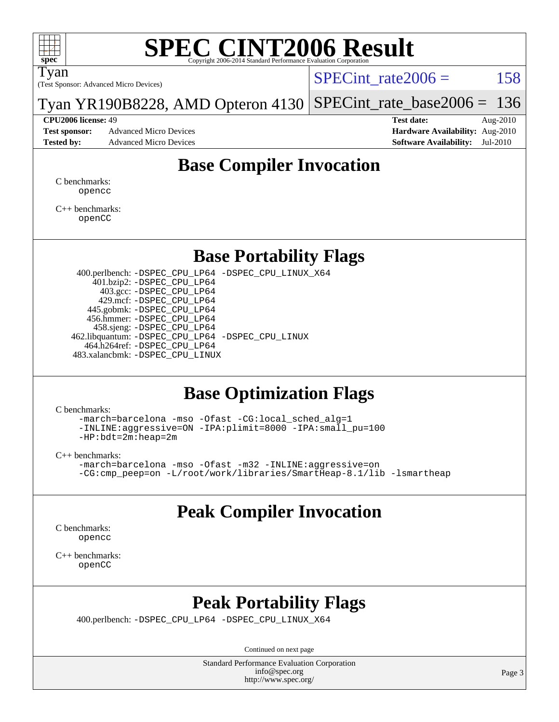

Tyan

(Test Sponsor: Advanced Micro Devices)

SPECint rate $2006 = 158$ 

Tyan YR190B8228, AMD Opteron 4130 [SPECint\\_rate\\_base2006 =](http://www.spec.org/auto/cpu2006/Docs/result-fields.html#SPECintratebase2006) 136

**[Tested by:](http://www.spec.org/auto/cpu2006/Docs/result-fields.html#Testedby)** Advanced Micro Devices **[Software Availability:](http://www.spec.org/auto/cpu2006/Docs/result-fields.html#SoftwareAvailability)** Jul-2010

**[CPU2006 license:](http://www.spec.org/auto/cpu2006/Docs/result-fields.html#CPU2006license)** 49 **[Test date:](http://www.spec.org/auto/cpu2006/Docs/result-fields.html#Testdate)** Aug-2010 **[Test sponsor:](http://www.spec.org/auto/cpu2006/Docs/result-fields.html#Testsponsor)** Advanced Micro Devices **Advanced Micro Devices [Hardware Availability:](http://www.spec.org/auto/cpu2006/Docs/result-fields.html#HardwareAvailability)** Aug-2010

#### **[Base Compiler Invocation](http://www.spec.org/auto/cpu2006/Docs/result-fields.html#BaseCompilerInvocation)**

[C benchmarks](http://www.spec.org/auto/cpu2006/Docs/result-fields.html#Cbenchmarks): [opencc](http://www.spec.org/cpu2006/results/res2010q3/cpu2006-20100816-12935.flags.html#user_CCbase_Fopencc)

[C++ benchmarks:](http://www.spec.org/auto/cpu2006/Docs/result-fields.html#CXXbenchmarks) [openCC](http://www.spec.org/cpu2006/results/res2010q3/cpu2006-20100816-12935.flags.html#user_CXXbase_FopenCC)

#### **[Base Portability Flags](http://www.spec.org/auto/cpu2006/Docs/result-fields.html#BasePortabilityFlags)**

 400.perlbench: [-DSPEC\\_CPU\\_LP64](http://www.spec.org/cpu2006/results/res2010q3/cpu2006-20100816-12935.flags.html#b400.perlbench_basePORTABILITY_DSPEC_CPU_LP64) [-DSPEC\\_CPU\\_LINUX\\_X64](http://www.spec.org/cpu2006/results/res2010q3/cpu2006-20100816-12935.flags.html#b400.perlbench_baseCPORTABILITY_DSPEC_CPU_LINUX_X64) 401.bzip2: [-DSPEC\\_CPU\\_LP64](http://www.spec.org/cpu2006/results/res2010q3/cpu2006-20100816-12935.flags.html#suite_basePORTABILITY401_bzip2_DSPEC_CPU_LP64) 403.gcc: [-DSPEC\\_CPU\\_LP64](http://www.spec.org/cpu2006/results/res2010q3/cpu2006-20100816-12935.flags.html#suite_basePORTABILITY403_gcc_DSPEC_CPU_LP64) 429.mcf: [-DSPEC\\_CPU\\_LP64](http://www.spec.org/cpu2006/results/res2010q3/cpu2006-20100816-12935.flags.html#suite_basePORTABILITY429_mcf_DSPEC_CPU_LP64) 445.gobmk: [-DSPEC\\_CPU\\_LP64](http://www.spec.org/cpu2006/results/res2010q3/cpu2006-20100816-12935.flags.html#suite_basePORTABILITY445_gobmk_DSPEC_CPU_LP64) 456.hmmer: [-DSPEC\\_CPU\\_LP64](http://www.spec.org/cpu2006/results/res2010q3/cpu2006-20100816-12935.flags.html#suite_basePORTABILITY456_hmmer_DSPEC_CPU_LP64) 458.sjeng: [-DSPEC\\_CPU\\_LP64](http://www.spec.org/cpu2006/results/res2010q3/cpu2006-20100816-12935.flags.html#suite_basePORTABILITY458_sjeng_DSPEC_CPU_LP64) 462.libquantum: [-DSPEC\\_CPU\\_LP64](http://www.spec.org/cpu2006/results/res2010q3/cpu2006-20100816-12935.flags.html#suite_basePORTABILITY462_libquantum_DSPEC_CPU_LP64) [-DSPEC\\_CPU\\_LINUX](http://www.spec.org/cpu2006/results/res2010q3/cpu2006-20100816-12935.flags.html#b462.libquantum_baseCPORTABILITY_DSPEC_CPU_LINUX) 464.h264ref: [-DSPEC\\_CPU\\_LP64](http://www.spec.org/cpu2006/results/res2010q3/cpu2006-20100816-12935.flags.html#suite_basePORTABILITY464_h264ref_DSPEC_CPU_LP64) 483.xalancbmk: [-DSPEC\\_CPU\\_LINUX](http://www.spec.org/cpu2006/results/res2010q3/cpu2006-20100816-12935.flags.html#b483.xalancbmk_baseCXXPORTABILITY_DSPEC_CPU_LINUX)

#### **[Base Optimization Flags](http://www.spec.org/auto/cpu2006/Docs/result-fields.html#BaseOptimizationFlags)**

[C benchmarks](http://www.spec.org/auto/cpu2006/Docs/result-fields.html#Cbenchmarks):

[-march=barcelona](http://www.spec.org/cpu2006/results/res2010q3/cpu2006-20100816-12935.flags.html#user_CCbase_F-march_8ea39521cada96f307a04d0b8b9c6ffb) [-mso](http://www.spec.org/cpu2006/results/res2010q3/cpu2006-20100816-12935.flags.html#user_CCbase_F-mso) [-Ofast](http://www.spec.org/cpu2006/results/res2010q3/cpu2006-20100816-12935.flags.html#user_CCbase_F-Ofast) [-CG:local\\_sched\\_alg=1](http://www.spec.org/cpu2006/results/res2010q3/cpu2006-20100816-12935.flags.html#user_CCbase_F-CG:local_sched_alg_2175ca61f1a2717f1ec57b14995b9e7a) [-INLINE:aggressive=ON](http://www.spec.org/cpu2006/results/res2010q3/cpu2006-20100816-12935.flags.html#user_CCbase_F-INLINE:aggressive_1968a21fda3b9e485676870015f71302) [-IPA:plimit=8000](http://www.spec.org/cpu2006/results/res2010q3/cpu2006-20100816-12935.flags.html#user_CCbase_F-IPA:plimit_92cba83f3d47f09c7d5368fda93ddbd7) [-IPA:small\\_pu=100](http://www.spec.org/cpu2006/results/res2010q3/cpu2006-20100816-12935.flags.html#user_CCbase_F-IPA:small_pu_900a09767c6929d55c26ea3d32399996) [-HP:bdt=2m:heap=2m](http://www.spec.org/cpu2006/results/res2010q3/cpu2006-20100816-12935.flags.html#user_CCbase_F-HUGEPAGE_855e97383b49831f390a2af16fe7202f)

[C++ benchmarks:](http://www.spec.org/auto/cpu2006/Docs/result-fields.html#CXXbenchmarks)

```
-march=barcelona -mso -Ofast -m32 -INLINE:aggressive=on
-CG:cmp_peep=on -L/root/work/libraries/SmartHeap-8.1/lib -lsmartheap
```
#### **[Peak Compiler Invocation](http://www.spec.org/auto/cpu2006/Docs/result-fields.html#PeakCompilerInvocation)**

[C benchmarks](http://www.spec.org/auto/cpu2006/Docs/result-fields.html#Cbenchmarks): [opencc](http://www.spec.org/cpu2006/results/res2010q3/cpu2006-20100816-12935.flags.html#user_CCpeak_Fopencc)

[C++ benchmarks:](http://www.spec.org/auto/cpu2006/Docs/result-fields.html#CXXbenchmarks) [openCC](http://www.spec.org/cpu2006/results/res2010q3/cpu2006-20100816-12935.flags.html#user_CXXpeak_FopenCC)

#### **[Peak Portability Flags](http://www.spec.org/auto/cpu2006/Docs/result-fields.html#PeakPortabilityFlags)**

400.perlbench: [-DSPEC\\_CPU\\_LP64](http://www.spec.org/cpu2006/results/res2010q3/cpu2006-20100816-12935.flags.html#b400.perlbench_peakPORTABILITY_DSPEC_CPU_LP64) [-DSPEC\\_CPU\\_LINUX\\_X64](http://www.spec.org/cpu2006/results/res2010q3/cpu2006-20100816-12935.flags.html#b400.perlbench_peakCPORTABILITY_DSPEC_CPU_LINUX_X64)

Continued on next page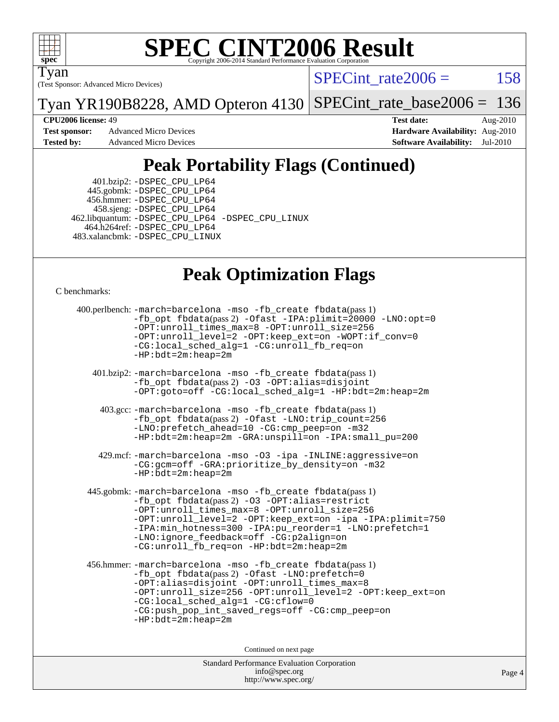

Tyan

(Test Sponsor: Advanced Micro Devices)

SPECint rate $2006 = 158$ 

Tyan YR190B8228, AMD Opteron 4130 [SPECint\\_rate\\_base2006 =](http://www.spec.org/auto/cpu2006/Docs/result-fields.html#SPECintratebase2006) 136

**[CPU2006 license:](http://www.spec.org/auto/cpu2006/Docs/result-fields.html#CPU2006license)** 49 **[Test date:](http://www.spec.org/auto/cpu2006/Docs/result-fields.html#Testdate)** Aug-2010 **[Test sponsor:](http://www.spec.org/auto/cpu2006/Docs/result-fields.html#Testsponsor)** Advanced Micro Devices **Advanced Micro Devices [Hardware Availability:](http://www.spec.org/auto/cpu2006/Docs/result-fields.html#HardwareAvailability)** Aug-2010 **[Tested by:](http://www.spec.org/auto/cpu2006/Docs/result-fields.html#Testedby)** Advanced Micro Devices **[Software Availability:](http://www.spec.org/auto/cpu2006/Docs/result-fields.html#SoftwareAvailability)** Jul-2010

### **[Peak Portability Flags \(Continued\)](http://www.spec.org/auto/cpu2006/Docs/result-fields.html#PeakPortabilityFlags)**

 401.bzip2: [-DSPEC\\_CPU\\_LP64](http://www.spec.org/cpu2006/results/res2010q3/cpu2006-20100816-12935.flags.html#suite_peakPORTABILITY401_bzip2_DSPEC_CPU_LP64) 445.gobmk: [-DSPEC\\_CPU\\_LP64](http://www.spec.org/cpu2006/results/res2010q3/cpu2006-20100816-12935.flags.html#suite_peakPORTABILITY445_gobmk_DSPEC_CPU_LP64) 456.hmmer: [-DSPEC\\_CPU\\_LP64](http://www.spec.org/cpu2006/results/res2010q3/cpu2006-20100816-12935.flags.html#suite_peakPORTABILITY456_hmmer_DSPEC_CPU_LP64) 458.sjeng: [-DSPEC\\_CPU\\_LP64](http://www.spec.org/cpu2006/results/res2010q3/cpu2006-20100816-12935.flags.html#suite_peakPORTABILITY458_sjeng_DSPEC_CPU_LP64) 462.libquantum: [-DSPEC\\_CPU\\_LP64](http://www.spec.org/cpu2006/results/res2010q3/cpu2006-20100816-12935.flags.html#suite_peakPORTABILITY462_libquantum_DSPEC_CPU_LP64) [-DSPEC\\_CPU\\_LINUX](http://www.spec.org/cpu2006/results/res2010q3/cpu2006-20100816-12935.flags.html#b462.libquantum_peakCPORTABILITY_DSPEC_CPU_LINUX) 464.h264ref: [-DSPEC\\_CPU\\_LP64](http://www.spec.org/cpu2006/results/res2010q3/cpu2006-20100816-12935.flags.html#suite_peakPORTABILITY464_h264ref_DSPEC_CPU_LP64) 483.xalancbmk: [-DSPEC\\_CPU\\_LINUX](http://www.spec.org/cpu2006/results/res2010q3/cpu2006-20100816-12935.flags.html#b483.xalancbmk_peakCXXPORTABILITY_DSPEC_CPU_LINUX)

### **[Peak Optimization Flags](http://www.spec.org/auto/cpu2006/Docs/result-fields.html#PeakOptimizationFlags)**

[C benchmarks](http://www.spec.org/auto/cpu2006/Docs/result-fields.html#Cbenchmarks):

```
 400.perlbench: -march=barcelona -mso -fb_create fbdata(pass 1)
           -fb_opt fbdata(pass 2) -Ofast -IPA:plimit=20000 -LNO:opt=0
           -OPT:unroll_times_max=8 -OPT:unroll_size=256
           -OPT:unroll_level=2 -OPT:keep_ext=on -WOPT:if_conv=0
           -CG:local_sched_alg=1 -CG:unroll_fb_req=on
           -HP:bdt=2m:heap=2m
    401.bzip2: -march=barcelona -mso -fb_create fbdata(pass 1)
           -fb_opt fbdata(pass 2) -O3 -OPT:alias=disjoint
           -OPT:goto=off -CG:local_sched_alg=1 -HP:bdt=2m:heap=2m
     403.gcc: -march=barcelona -mso -fb_create fbdata(pass 1)
           -fb_opt fbdata(pass 2) -Ofast -LNO:trip_count=256
           -LNO:prefetch_ahead=10 -CG:cmp_peep=on -m32
           -HP:bdt=2m:heap=2m -GRA:unspill=on -IPA:small_pu=200
     429.mcf: -march=barcelona -mso -O3 -ipa -INLINE:aggressive=on
           -CG:gcm=off -GRA:prioritize_by_density=on -m32
          -HP:bdt=2m:heap=2m
  445.gobmk: -march=barcelona -mso -fb_create fbdata(pass 1)
           -fb_opt fbdata(pass 2) -O3 -OPT:alias=restrict
           -OPT:unroll_times_max=8 -OPT:unroll_size=256
           -OPT:unroll_level=2 -OPT:keep_ext=on -ipa -IPA:plimit=750
           -IPA:min_hotness=300-IPA:pu_reorder=1-LNO:prefetch=1
           -LNO:ignore_feedback=off -CG:p2align=on
           -CG:unroll_fb_req=on -HP:bdt=2m:heap=2m
  456.hmmer: -march=barcelona -mso -fb_create fbdata(pass 1)
           -fb_opt fbdata(pass 2) -Ofast -LNO:prefetch=0
           -OPT:alias=disjoint -OPT:unroll_times_max=8
           -OPT:unroll_size=256 -OPT:unroll_level=2 -OPT:keep_ext=on
           -CG:local_sched_alg=1 -CG:cflow=0
           -CG:push_pop_int_saved_regs=off -CG:cmp_peep=on
           -HP:bdt=2m:heap=2m
                                Continued on next page
```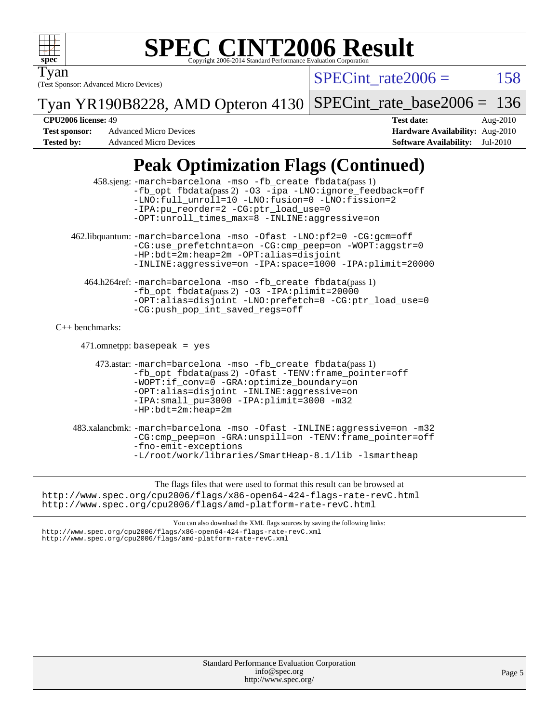